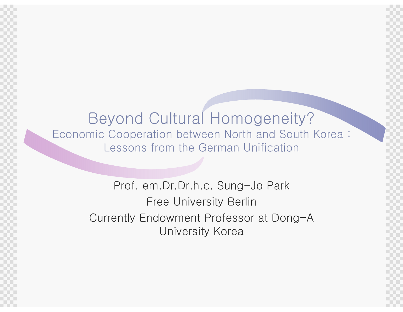Beyond Cultural Homogeneity? Economic Cooperation between North and South Korea : Lessons from the German Unification

> Prof. em.Dr.Dr.h.c. Sung-Jo ParkFree University Berlin Currently Endowment Professor at Dong-A University Korea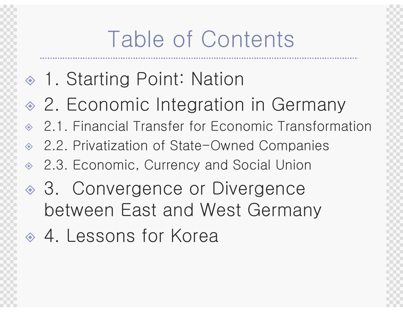# Table of Contents

- 1. Starting Point: Nation
- ◈ 2. Economic Integration in Germany
- 2.1. Financial Transfer for Economic Transformation
- $\rightsquigarrow$ 2.2. Privatization of State-Owned Companies
- $\Leftrightarrow$ 2.3. Economic, Currency and Social Union
- ◈ 3. Convergence or Divergence between East and West Germany
- 4. Lessons for Korea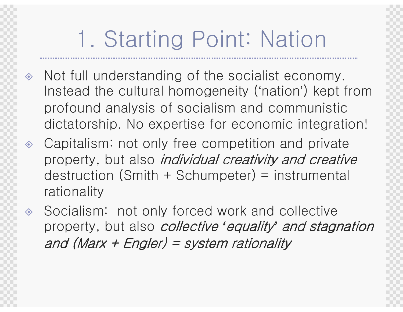# 1. Starting Point: Nation

- $\Leftrightarrow$  Not full understanding of the socialist economy. Instead the cultural homogeneity ('nation') kept from profound analysis of socialism and communistic dictatorship. No expertise for economic integration!
- $\langle \diamond \rangle$  Capitalism: not only free competition and private property, but also *individual creativity and creative*  destruction (Smith + Schumpeter) = instrumental rationality
- $\color{red}\diamondsuit$  Socialism: not only forced work and collective property, but also collective **'**equality**'** and stagnation and (Marx + Engler) = system rationality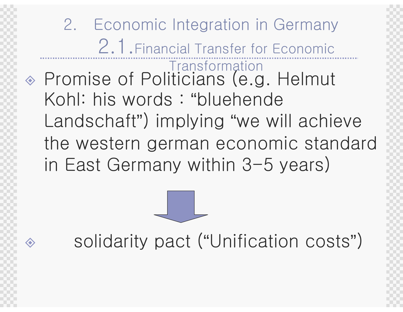2. Economic Integration in Germany 2.1.Financial Transfer for Economic Transformation◈ Promise of Politicians (e.g ◈ Promise of Politicians (e.g. Helmut Kohl: his words : "bluehende Landschaft") implying "we will achieve the western german economic standard in East Germany within 3-5 years)

solidarity pact ( "Unification costs")

<mark>◇</mark>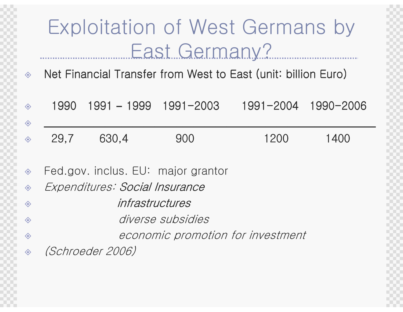#### Exploitation of West Germans by East Germany?

 Net Financial Transfer from West to East (unit: billion Euro)  $\langle \diamond \rangle$ 

| $\diamondsuit$                                             | 1990                              | $1991 - 1999$ $1991 - 2003$        |     |      | 1991-2004 1990-2006 |  |  |
|------------------------------------------------------------|-----------------------------------|------------------------------------|-----|------|---------------------|--|--|
| ◈                                                          |                                   |                                    |     |      |                     |  |  |
| $\diamondsuit$                                             | 29,7                              | 630,4                              | 900 | 1200 | 1400                |  |  |
|                                                            |                                   |                                    |     |      |                     |  |  |
| $\diamondsuit$                                             |                                   | Fed.gov. inclus. EU: major grantor |     |      |                     |  |  |
| $\begin{matrix} \diamondsuit \\ \diamondsuit \end{matrix}$ | Expenditures: Social Insurance    |                                    |     |      |                     |  |  |
| ◈                                                          | infrastructures                   |                                    |     |      |                     |  |  |
| ◈                                                          | diverse subsidies                 |                                    |     |      |                     |  |  |
| ◈                                                          | economic promotion for investment |                                    |     |      |                     |  |  |
| $\diamondsuit$                                             | <i>(Schroeder 2006)</i>           |                                    |     |      |                     |  |  |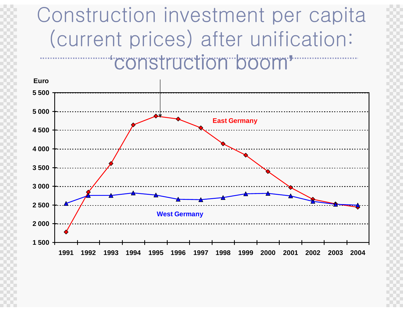#### Construction investment per capita (current prices) after unification: 'construction boom**'**

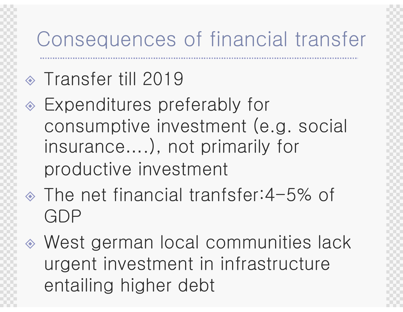#### Consequences of financial transfer

# Transfer till 2019

- Expenditures preferably for consumptive investment (e.g. social insurance….), not primarily for productive investment
- The net financial tranfsfer:4-5% of GDP
- West german local communities lack urgent investment in infrastructure entailing higher debt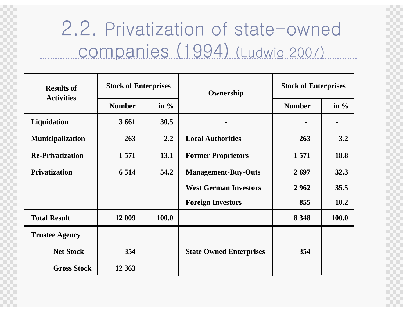#### 2.2. Privatization of state-owned companies (1994) (Ludwig 2007)

| <b>Results of</b><br><b>Activities</b> | <b>Stock of Enterprises</b> |         | Ownership                      | <b>Stock of Enterprises</b> |         |
|----------------------------------------|-----------------------------|---------|--------------------------------|-----------------------------|---------|
|                                        | <b>Number</b>               | in $\%$ |                                | <b>Number</b>               | in $\%$ |
| Liquidation                            | 3 6 6 1                     | 30.5    |                                |                             |         |
| <b>Municipalization</b>                | 263                         | 2.2     | <b>Local Authorities</b>       | 263                         | 3.2     |
| <b>Re-Privatization</b>                | 1571                        | 13.1    | <b>Former Proprietors</b>      | 1571                        | 18.8    |
| <b>Privatization</b>                   | 6 5 1 4                     | 54.2    | <b>Management-Buy-Outs</b>     | 2697                        | 32.3    |
|                                        |                             |         | <b>West German Investors</b>   | 2962                        | 35.5    |
|                                        |                             |         | <b>Foreign Investors</b>       | 855                         | 10.2    |
| <b>Total Result</b>                    | 12 009                      | 100.0   |                                | 8 3 4 8                     | 100.0   |
| <b>Trustee Agency</b>                  |                             |         |                                |                             |         |
| <b>Net Stock</b>                       | 354                         |         | <b>State Owned Enterprises</b> | 354                         |         |
| <b>Gross Stock</b>                     | 12 3 63                     |         |                                |                             |         |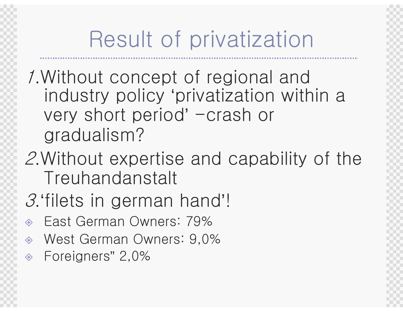# Result of privatization

- 1.Without concept of regional and industry policy 'privatization within a very short period' -crash or gradualism?
- 2.Without expertise and capability of the Treuhandanstalt
- <sup>3</sup>.'filets in german hand'!
- $\diamondsuit$ East German Owners: 79%
- $\Leftrightarrow$ West German Owners: 9,0%
- $\diamond$ Foreigners " 2,0%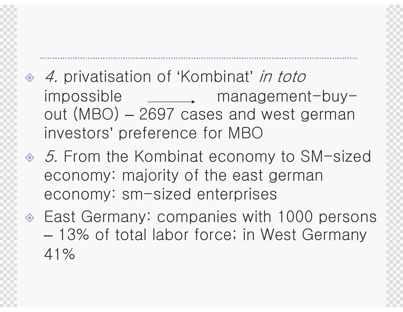- 
- $\Leftrightarrow$ 4. privatisation of 'Kombinat' *in toto*<br>impossible managemen imanagement-buyout (MBO) – 2697 cases and west germaninvestors' preference for MBO
- ◈ 5. From the Kombinat economy to SM-sized economy: majority of the east germaneconomy: sm-sized enterprises
- East Germany: companies with 1000 persons  $\mathcal{L}_{\mathcal{A}}$  , and the set of  $\mathcal{L}_{\mathcal{A}}$  13% of total labor force; in West Germany 41%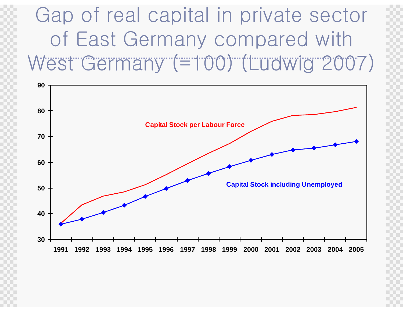#### Gap of real capital in private sector of East Germany compared with West Germany (=100) (Ludwig 2007)

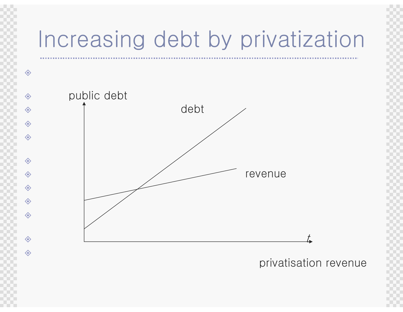## Increasing debt by privatization



privatisation revenue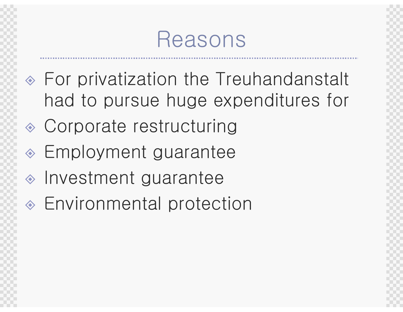## Reasons

- For privatization the Treuhandanstalt had to pursue huge expenditures for
- Corporate restructuring
- Employment guarantee
- Investment guarantee
- Environmental protection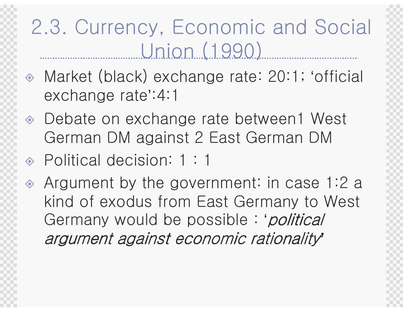## 2.3. Currency, Economic and Social Union (1990)

- $\diamondsuit$  Market (black) exchange rate: 20:1; 'official exchange rate':4:1
- ◈ Debate on exchange rate between1 West German DM against 2 East German DM
- Political decision: 1 : 1
- Argument by the government: in case 1:2 a kind of exodus from East Germany to West Germany would be possible : '*political* argument against economic rationality argument against economic **'**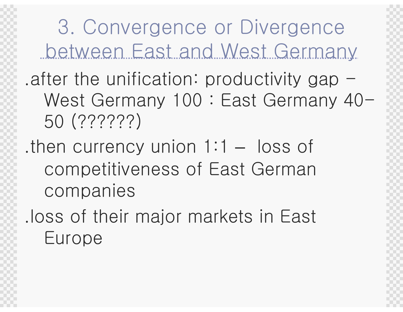3. Convergence or Divergence between East and West Germany.after the unification: productivity gap  $-$  West Germany 100 : East Germany 40-50 (??????)

.then currency union 1:1  $\mathcal{L}_{\mathcal{A}}$  , and the set of  $\mathcal{L}_{\mathcal{A}}$  loss of competitiveness of East German companies

.loss of their major markets in East Europe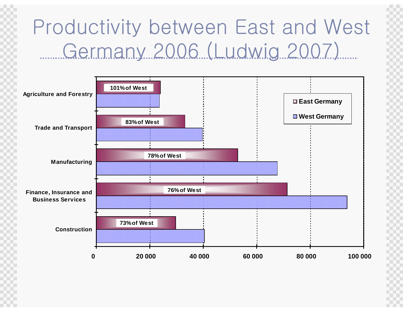## Productivity between East and West Germany 2006 (Ludwig 2007)

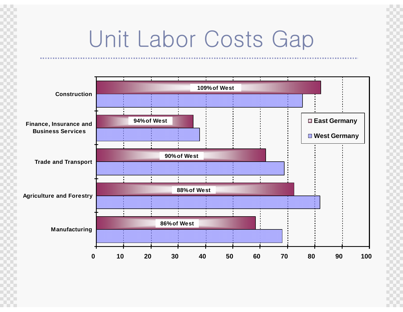## Unit Labor Costs Gap

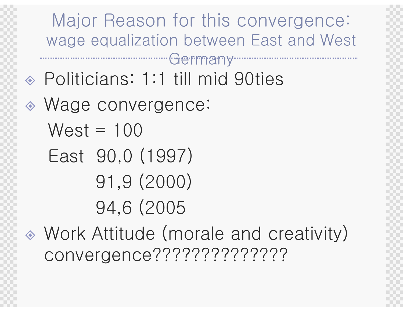Major Reason for this convergence:wage equalization between East and West

Politicians: 1:1 till mid 90ties

Germany

- Wage convergence:  $West = 100$ 
	- East 90,0 (1997)91,9 (2000)
		- 94,6 (2005
- $\hat{\diamond}$  Work Attitude (morale and creativity) convergence??????????????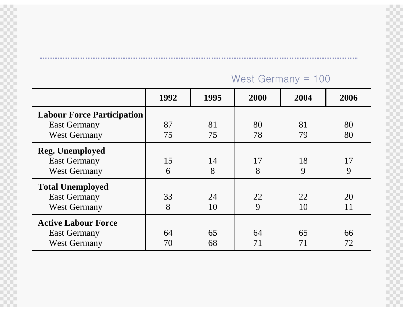#### West Germany = 100

|                                                                                 | 1992     | 1995     | 2000     | 2004     | 2006     |
|---------------------------------------------------------------------------------|----------|----------|----------|----------|----------|
| <b>Labour Force Participation</b><br><b>East Germany</b><br><b>West Germany</b> | 87<br>75 | 81<br>75 | 80<br>78 | 81<br>79 | 80<br>80 |
| <b>Reg. Unemployed</b><br><b>East Germany</b><br><b>West Germany</b>            | 15<br>6  | 14<br>8  | 17<br>8  | 18<br>9  | 17<br>9  |
| <b>Total Unemployed</b><br><b>East Germany</b><br><b>West Germany</b>           | 33<br>8  | 24<br>10 | 22<br>9  | 22<br>10 | 20<br>11 |
| <b>Active Labour Force</b><br><b>East Germany</b><br><b>West Germany</b>        | 64<br>70 | 65<br>68 | 64<br>71 | 65<br>71 | 66<br>72 |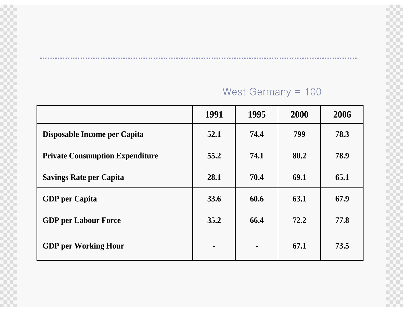#### West Germany = 100

|                                        | 1991           | 1995           | 2000 | 2006 |
|----------------------------------------|----------------|----------------|------|------|
| Disposable Income per Capita           | 52.1           | 74.4           | 799  | 78.3 |
| <b>Private Consumption Expenditure</b> | 55.2           | 74.1           | 80.2 | 78.9 |
| <b>Savings Rate per Capita</b>         | 28.1           | 70.4           | 69.1 | 65.1 |
| <b>GDP</b> per Capita                  | 33.6           | 60.6           | 63.1 | 67.9 |
| <b>GDP</b> per Labour Force            | 35.2           | 66.4           | 72.2 | 77.8 |
| <b>GDP</b> per Working Hour            | $\blacksquare$ | $\blacksquare$ | 67.1 | 73.5 |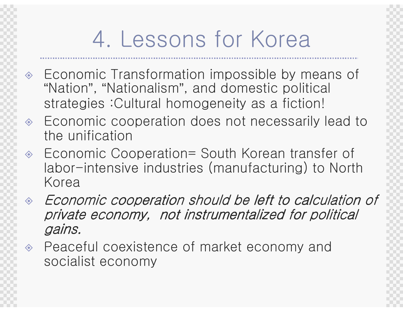# 4. Lessons for Korea

- Economic Transformation impossible by means of Economic Transformation impossible by means of "Nation"I IRIIII')' *OAI*N , "Nationalism", and domestic political strategies :Cultural homogeneity as a fiction!
- $\Leftrightarrow$  Economic cooperation does not necessarily lead to the unification
- ◈ Economic Cooperation= South Korean transfer of<br>Labor, intensive industries (manufacturing) to North  $\Leftrightarrow$ labor-intensive industries (manufacturing) to NorthKorea
- Economic cooperation should be left to calculation of  $\Leftrightarrow$ private economy, not instrumentalized for political gains.
- $\langle \bullet \rangle$  Peaceful coexistence of market economy and socialist economy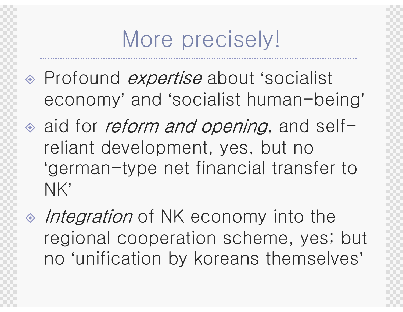# More precisely!

- Profound expertise about 'socialist economy' and 'socialist human-being'
- $\textdegree$  aid for *reform and opening*, and selfreliant development, yes, but no 'german-type net financial transfer to NK'
- $\triangle$  *Integration* of NK economy into the regional cooperation scheme, yes; but no 'unification by koreans themselves'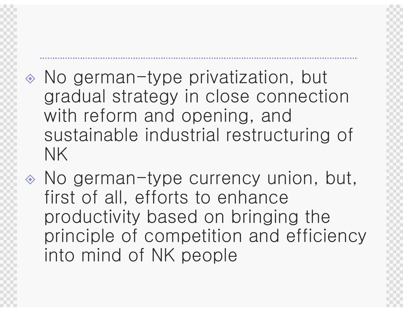- No german-type privatization, but gradual strategy in close connection with reform and opening, and sustainable industrial restructuring of NK
- No german-type currency union, but, first of all, efforts to enhance productivity based on bringing the principle of competition and efficiency into mind of NK people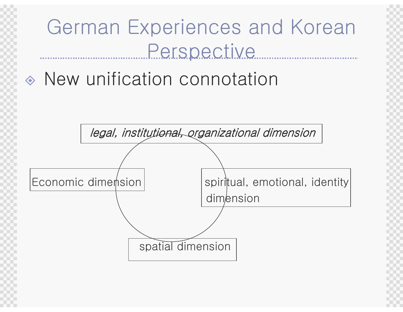## German Experiences and Korean **Perspective**

#### $\diamondsuit$ New unification connotation

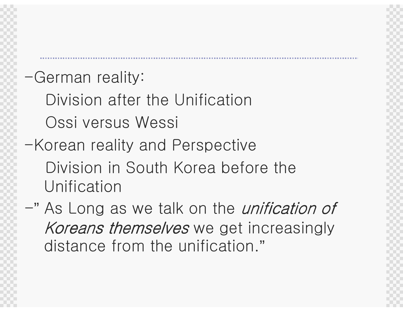#### -German reality:

Division after the UnificationOssi versus Wessi

- -Korean reality and PerspectiveDivision in South Korea before the Unification
- -" As Long as we talk on the unification ofKoreans themselves we get increasingly distance from the unification."